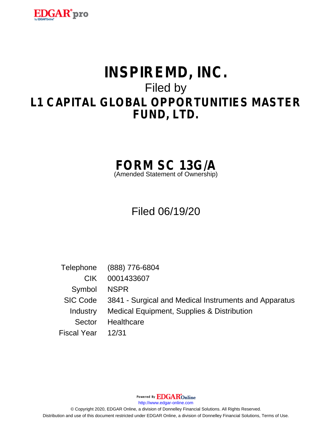

# **INSPIREMD, INC.** Filed by **L1 CAPITAL GLOBAL OPPORTUNITIES MASTER FUND, LTD.**

# **FORM SC 13G/A**

(Amended Statement of Ownership)

# Filed 06/19/20

Telephone (888) 776-6804 CIK 0001433607 Symbol NSPR SIC Code 3841 - Surgical and Medical Instruments and Apparatus Industry Medical Equipment, Supplies & Distribution Sector Healthcare Fiscal Year 12/31

Powered By **EDGAR**Online

http://www.edgar-online.com

© Copyright 2020, EDGAR Online, a division of Donnelley Financial Solutions. All Rights Reserved. Distribution and use of this document restricted under EDGAR Online, a division of Donnelley Financial Solutions, Terms of Use.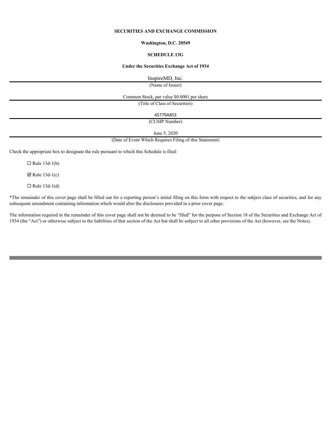# **SECURITIES AND EXCHANGE COMMISSION**

#### **Washington, D.C. 20549**

#### **SCHEDULE 13G**

#### **Under the Securities Exchange Act of 1934**

InspireMD, Inc.

(Name of Issuer)

Common Stock, par value \$0.0001 per share

(Title of Class of Securities)

45779A853

(CUSIP Number)

June 5, 2020

(Date of Event Which Requires Filing of this Statement)

Check the appropriate box to designate the rule pursuant to which this Schedule is filed:

 $\Box$  Rule 13d-1(b)

 $\boxtimes$  Rule 13d-1(c)

 $\Box$  Rule 13d-1(d)

\*The remainder of this cover page shall be filled out for a reporting person's initial filing on this form with respect to the subject class of securities, and for any subsequent amendment containing information which would alter the disclosures provided in a prior cover page.

The information required in the remainder of this cover page shall not be deemed to be "filed" for the purpose of Section 18 of the Securities and Exchange Act of 1934 (the "Act") or otherwise subject to the liabilities of that section of the Act but shall be subject to all other provisions of the Act (however, see the Notes).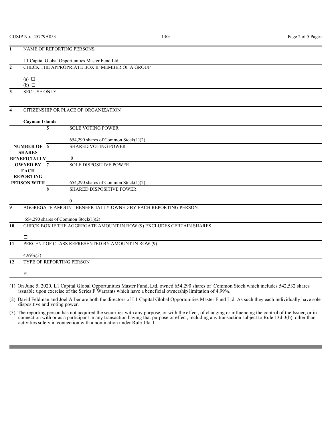| 1                       |                                                | NAME OF REPORTING PERSONS                                            |
|-------------------------|------------------------------------------------|----------------------------------------------------------------------|
|                         |                                                | L1 Capital Global Opportunities Master Fund Ltd.                     |
| $\overline{2}$          | CHECK THE APPROPRIATE BOX IF MEMBER OF A GROUP |                                                                      |
|                         | (a) $\Box$<br>$(b)$ $\square$                  |                                                                      |
| $\mathbf{3}$            | <b>SEC USE ONLY</b>                            |                                                                      |
|                         |                                                |                                                                      |
| $\overline{\mathbf{4}}$ |                                                | CITIZENSHIP OR PLACE OF ORGANIZATION                                 |
|                         |                                                |                                                                      |
|                         | <b>Cayman Islands</b>                          |                                                                      |
|                         | 5                                              | <b>SOLE VOTING POWER</b>                                             |
|                         |                                                | $654,290$ shares of Common Stock $(1)(2)$                            |
|                         | <b>NUMBER OF 6</b>                             | <b>SHARED VOTING POWER</b>                                           |
|                         | <b>SHARES</b>                                  |                                                                      |
|                         | <b>BENEFICIALLY</b>                            | $\mathbf{0}$                                                         |
|                         | <b>OWNED BY 7</b><br><b>EACH</b>               | <b>SOLE DISPOSITIVE POWER</b>                                        |
|                         | <b>REPORTING</b>                               |                                                                      |
|                         | <b>PERSON WITH</b>                             | 654,290 shares of Common Stock(1)(2)                                 |
|                         | 8                                              | <b>SHARED DISPOSITIVE POWER</b>                                      |
|                         |                                                | $\boldsymbol{0}$                                                     |
| 9                       |                                                | AGGREGATE AMOUNT BENEFICIALLY OWNED BY EACH REPORTING PERSON         |
|                         |                                                | $654,290$ shares of Common Stock $(1)(2)$                            |
| 10                      |                                                | CHECK BOX IF THE AGGREGATE AMOUNT IN ROW (9) EXCLUDES CERTAIN SHARES |
|                         |                                                |                                                                      |
|                         | □                                              |                                                                      |
| 11                      |                                                | PERCENT OF CLASS REPRESENTED BY AMOUNT IN ROW (9)                    |
|                         | $4.99\%(3)$                                    |                                                                      |
| 12                      | TYPE OF REPORTING PERSON                       |                                                                      |
|                         |                                                |                                                                      |
|                         | FI                                             |                                                                      |
|                         |                                                |                                                                      |

(1) On June 5, 2020, L1 Capital Global Opportunities Master Fund, Ltd. owned 654,290 shares of Common Stock which includes 542,532 shares issuable upon exercise of the Series F Warrants which have a beneficial ownership limitation of 4.99%.

(2) David Feldman and Joel Arber are both the directors of L1 Capital Global Opportunities Master Fund Ltd. As such they each individually have sole dispositive and voting power.

(3) The reporting person has not acquired the securities with any purpose, or with the effect, of changing or influencing the control of the Issuer, or in connection with or as a participant in any transaction having that purpose or effect, including any transaction subject to Rule 13d-3(b), other than activities solely in connection with a nomination under Rule 14a-11.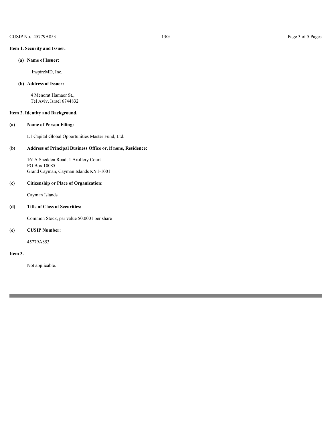# **Item 1. Security and Issuer.**

# **(a) Name of Issuer:**

InspireMD, Inc.

## **(b) Address of Issuer:**

4 Menorat Hamaor St., Tel Aviv, Israel 6744832

## **Item 2. Identity and Background.**

## **(a) Name of Person Filing:**

L1 Capital Global Opportunities Master Fund, Ltd.

# **(b) Address of Principal Business Office or, if none, Residence:**

161A Shedden Road, 1 Artillery Court PO Box 10085 Grand Cayman, Cayman Islands KY1-1001

#### **(c) Citizenship or Place of Organization:**

Cayman Islands

# **(d) Title of Class of Securities:**

Common Stock, par value \$0.0001 per share

# **(e) CUSIP Number:**

45779A853

#### **Item 3.**

Not applicable.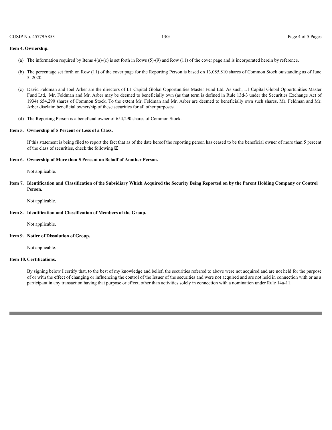#### **Item 4. Ownership.**

- (a) The information required by Items 4(a)-(c) is set forth in Rows (5)-(9) and Row (11) of the cover page and is incorporated herein by reference.
- (b) The percentage set forth on Row (11) of the cover page for the Reporting Person is based on 13,085,810 shares of Common Stock outstanding as of June 5, 2020.
- (c) David Feldman and Joel Arber are the directors of L1 Capital Global Opportunities Master Fund Ltd. As such, L1 Capital Global Opportunities Master Fund Ltd, Mr. Feldman and Mr. Arber may be deemed to beneficially own (as that term is defined in Rule 13d-3 under the Securities Exchange Act of 1934) 654,290 shares of Common Stock. To the extent Mr. Feldman and Mr. Arber are deemed to beneficially own such shares, Mr. Feldman and Mr. Arber disclaim beneficial ownership of these securities for all other purposes.
- (d) The Reporting Person is a beneficial owner of 654,290 shares of Common Stock.

#### **Item 5. Ownership of 5 Percent or Less of a Class.**

If this statement is being filed to report the fact that as of the date hereof the reporting person has ceased to be the beneficial owner of more than 5 percent of the class of securities, check the following  $\boxtimes$ 

#### **Item 6. Ownership of More than 5 Percent on Behalf of Another Person.**

Not applicable.

**Item 7. Identification and Classification of the Subsidiary Which Acquired the Security Being Reported on by the Parent Holding Company or Control Person.**

Not applicable.

#### **Item 8. Identification and Classification of Members of the Group.**

Not applicable.

#### **Item 9. Notice of Dissolution of Group.**

Not applicable.

#### **Item 10. Certifications.**

By signing below I certify that, to the best of my knowledge and belief, the securities referred to above were not acquired and are not held for the purpose of or with the effect of changing or influencing the control of the Issuer of the securities and were not acquired and are not held in connection with or as a participant in any transaction having that purpose or effect, other than activities solely in connection with a nomination under Rule 14a-11.